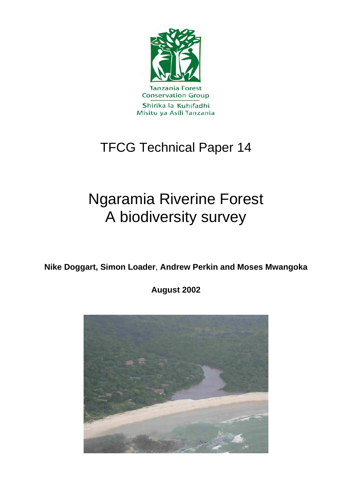

## TFCG Technical Paper 14

# Ngaramia Riverine Forest A biodiversity survey

**Nike Doggart, Simon Loader**, **Andrew Perkin and Moses Mwangoka**

**August 2002**

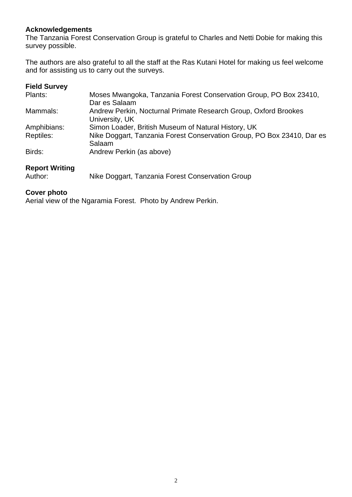## **Acknowledgements**

The Tanzania Forest Conservation Group is grateful to Charles and Netti Dobie for making this survey possible.

The authors are also grateful to all the staff at the Ras Kutani Hotel for making us feel welcome and for assisting us to carry out the surveys.

#### **Field Survey**

| Plants:     | Moses Mwangoka, Tanzania Forest Conservation Group, PO Box 23410,      |
|-------------|------------------------------------------------------------------------|
|             | Dar es Salaam                                                          |
| Mammals:    | Andrew Perkin, Nocturnal Primate Research Group, Oxford Brookes        |
|             | University, UK                                                         |
| Amphibians: | Simon Loader, British Museum of Natural History, UK                    |
| Reptiles:   | Nike Doggart, Tanzania Forest Conservation Group, PO Box 23410, Dar es |
|             | Salaam                                                                 |
| Birds:      | Andrew Perkin (as above)                                               |
|             |                                                                        |

#### **Report Writing**

Author: Nike Doggart, Tanzania Forest Conservation Group

## **Cover photo**

Aerial view of the Ngaramia Forest. Photo by Andrew Perkin.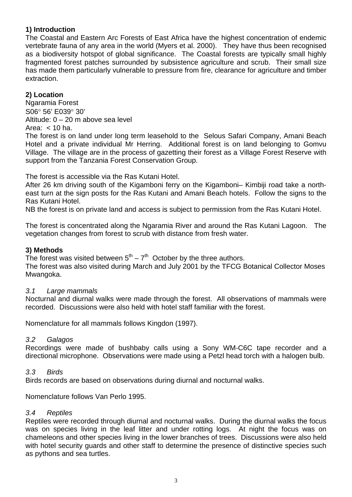## **1) Introduction**

The Coastal and Eastern Arc Forests of East Africa have the highest concentration of endemic vertebrate fauna of any area in the world (Myers et al. 2000). They have thus been recognised as a biodiversity hotspot of global significance. The Coastal forests are typically small highly fragmented forest patches surrounded by subsistence agriculture and scrub. Their small size has made them particularly vulnerable to pressure from fire, clearance for agriculture and timber extraction.

## **2) Location**

Ngaramia Forest S06° 56' E039° 30' Altitude: 0 – 20 m above sea level Area:  $< 10$  ha.

The forest is on land under long term leasehold to the Selous Safari Company, Amani Beach Hotel and a private individual Mr Herring. Additional forest is on land belonging to Gomvu Village. The village are in the process of gazetting their forest as a Village Forest Reserve with support from the Tanzania Forest Conservation Group.

The forest is accessible via the Ras Kutani Hotel.

After 26 km driving south of the Kigamboni ferry on the Kigamboni– Kimbiji road take a northeast turn at the sign posts for the Ras Kutani and Amani Beach hotels. Follow the signs to the Ras Kutani Hotel.

NB the forest is on private land and access is subject to permission from the Ras Kutani Hotel.

The forest is concentrated along the Ngaramia River and around the Ras Kutani Lagoon. The vegetation changes from forest to scrub with distance from fresh water.

## **3) Methods**

The forest was visited between  $5<sup>th</sup> - 7<sup>th</sup>$  October by the three authors.

The forest was also visited during March and July 2001 by the TFCG Botanical Collector Moses Mwangoka.

## *3.1 Large mammals*

Nocturnal and diurnal walks were made through the forest. All observations of mammals were recorded. Discussions were also held with hotel staff familiar with the forest.

Nomenclature for all mammals follows Kingdon (1997).

## *3.2 Galagos*

Recordings were made of bushbaby calls using a Sony WM-C6C tape recorder and a directional microphone. Observations were made using a Petzl head torch with a halogen bulb.

## *3.3 Birds*

Birds records are based on observations during diurnal and nocturnal walks.

Nomenclature follows Van Perlo 1995.

#### *3.4 Reptiles*

Reptiles were recorded through diurnal and nocturnal walks. During the diurnal walks the focus was on species living in the leaf litter and under rotting logs. At night the focus was on chameleons and other species living in the lower branches of trees. Discussions were also held with hotel security guards and other staff to determine the presence of distinctive species such as pythons and sea turtles.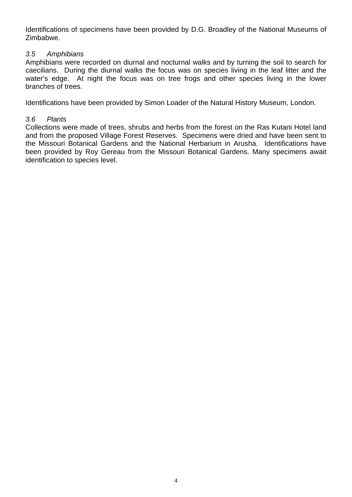Identifications of specimens have been provided by D.G. Broadley of the National Museums of Zimbabwe.

## *3.5 Amphibians*

Amphibians were recorded on diurnal and nocturnal walks and by turning the soil to search for caecilians. During the diurnal walks the focus was on species living in the leaf litter and the water's edge. At night the focus was on tree frogs and other species living in the lower branches of trees.

Identifications have been provided by Simon Loader of the Natural History Museum, London.

#### *3.6 Plants*

Collections were made of trees, shrubs and herbs from the forest on the Ras Kutani Hotel land and from the proposed Village Forest Reserves. Specimens were dried and have been sent to the Missouri Botanical Gardens and the National Herbarium in Arusha. Identifications have been provided by Roy Gereau from the Missouri Botanical Gardens. Many specimens await identification to species level.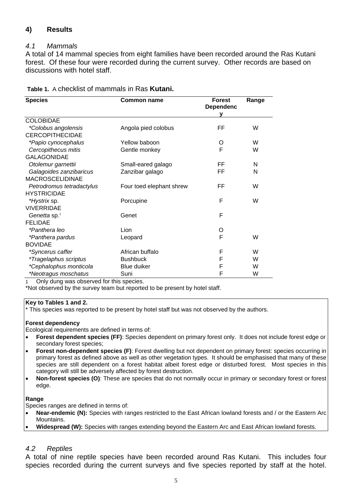## **4) Results**

## *4.1 Mammals*

A total of 14 mammal species from eight families have been recorded around the Ras Kutani forest. Of these four were recorded during the current survey. Other records are based on discussions with hotel staff.

| <b>Species</b><br><b>Common name</b> |                          | <b>Forest</b><br><b>Dependenc</b> | Range |
|--------------------------------------|--------------------------|-----------------------------------|-------|
|                                      |                          | v                                 |       |
| <b>COLOBIDAE</b>                     |                          |                                   |       |
| *Colobus angolensis                  | Angola pied colobus      | FF                                | W     |
| <b>CERCOPITHECIDAE</b>               |                          |                                   |       |
| *Papio cynocephalus                  | Yellow baboon            | O                                 | W     |
| Cercopithecus mitis                  | Gentle monkey            | F                                 | W     |
| <b>GALAGONIDAE</b>                   |                          |                                   |       |
| Otolemur garnettii                   | Small-eared galago       | <b>FF</b>                         | N     |
| Galagoides zanzibaricus              | Zanzibar galago          | <b>FF</b>                         | N     |
| <b>MACROSCELIDINAE</b>               |                          |                                   |       |
| Petrodromus tetradactylus            | Four toed elephant shrew | FF                                | W     |
| <b>HYSTRICIDAE</b>                   |                          |                                   |       |
| <i>*Hystrix sp.</i>                  | Porcupine                | F                                 | W     |
| <b>VIVERRIDAE</b>                    |                          |                                   |       |
| Genetta sp. <sup>1</sup>             | Genet                    | F                                 |       |
| <b>FELIDAE</b>                       |                          |                                   |       |
| *Panthera leo                        | Lion                     | O                                 |       |
| *Panthera pardus                     | Leopard                  | F                                 | W     |
| <b>BOVIDAE</b>                       |                          |                                   |       |
| *Syncerus caffer                     | African buffalo          | F                                 | W     |
| <i>*Tragelaphus scriptus</i>         | <b>Bushbuck</b>          | F                                 | W     |
| *Cephalophus monticola               | Blue duiker              | F                                 | W     |
| *Neotragus moschatus                 | Suni                     | F                                 | W     |

|  |  | Table 1. A checklist of mammals in Ras Kutani. |  |
|--|--|------------------------------------------------|--|
|--|--|------------------------------------------------|--|

1 Only dung was observed for this species.

\*Not observed by the survey team but reported to be present by hotel staff.

#### **Key to Tables 1 and 2.**

\* This species was reported to be present by hotel staff but was not observed by the authors.

#### **Forest dependency**

Ecological requirements are defined in terms of:

- **Forest dependent species (FF)**: Species dependent on primary forest only. It does not include forest edge or secondary forest species;
- **Forest non-dependent species (F)**: Forest dwelling but not dependent on primary forest: species occurring in primary forest as defined above as well as other vegetation types. It should be emphasised that many of these species are still dependent on a forest habitat albeit forest edge or disturbed forest. Most species in this category will still be adversely affected by forest destruction.
- **Non-forest species (O)**: These are species that do not normally occur in primary or secondary forest or forest edge.

#### **Range**

Species ranges are defined in terms of:

- **Near-endemic (N):** Species with ranges restricted to the East African lowland forests and / or the Eastern Arc Mountains.
- **Widespread (W):** Species with ranges extending beyond the Eastern Arc and East African lowland forests.

## *4.2 Reptiles*

A total of nine reptile species have been recorded around Ras Kutani. This includes four species recorded during the current surveys and five species reported by staff at the hotel.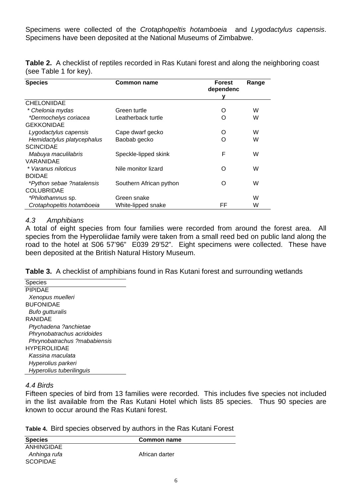Specimens were collected of the *Crotaphopeltis hotamboeia* and *Lygodactylus capensis*. Specimens have been deposited at the National Museums of Zimbabwe.

| Table 2. A checklist of reptiles recorded in Ras Kutani forest and along the neighboring coast |  |  |  |  |  |
|------------------------------------------------------------------------------------------------|--|--|--|--|--|
| (see Table 1 for key).                                                                         |  |  |  |  |  |

| <b>Species</b>             | <b>Common name</b>      | <b>Forest</b><br>dependenc<br>v | Range |
|----------------------------|-------------------------|---------------------------------|-------|
| CHELONIIDAE                |                         |                                 |       |
| * Chelonia mydas           | Green turtle            | O                               | W     |
| *Dermochelys coriacea      | Leatherback turtle      | Ω                               | W     |
| <b>GEKKONIDAE</b>          |                         |                                 |       |
| Lygodactylus capensis      | Cape dwarf gecko        | O                               | W     |
| Hemidactylus platycephalus | Baobab gecko            | Ω                               | W     |
| <b>SCINCIDAE</b>           |                         |                                 |       |
| Mabuya maculilabris        | Speckle-lipped skink    | F                               | W     |
| VARANIDAE                  |                         |                                 |       |
| * Varanus niloticus        | Nile monitor lizard     | Ω                               | W     |
| <b>BOIDAE</b>              |                         |                                 |       |
| *Python sebae ?natalensis  | Southern African python | Ω                               | W     |
| <b>COLUBRIDAE</b>          |                         |                                 |       |
| *Philothamnus sp.          | Green snake             |                                 | W     |
| Crotaphopeltis hotamboeia  | White-lipped snake      | FF                              | W     |

## *4.3 Amphibians*

A total of eight species from four families were recorded from around the forest area. All species from the Hyperoliidae family were taken from a small reed bed on public land along the road to the hotel at S06 57'96" E039 29'52". Eight specimens were collected. These have been deposited at the British Natural History Museum.

**Table 3.** A checklist of amphibians found in Ras Kutani forest and surrounding wetlands

**Species** PIPIDAE *Xenopus muelleri*  BUFONIDAE  *Bufo gutturalis*  RANIDAE  *Ptychadena ?anchietae Phrynobatrachus acridoides Phrynobatrachus ?mababiensis*  HYPEROLIIDAE  *Kassina maculata Hyperolius parkeri Hyperolius tuberilinguis* 

## *4.4 Birds*

Fifteen species of bird from 13 families were recorded. This includes five species not included in the list available from the Ras Kutani Hotel which lists 85 species. Thus 90 species are known to occur around the Ras Kutani forest.

**Table 4.** Bird species observed by authors in the Ras Kutani Forest

| <b>Species</b>  | Common name    |
|-----------------|----------------|
| ANHINGIDAE      |                |
| Anhinga rufa    | African darter |
| <b>SCOPIDAE</b> |                |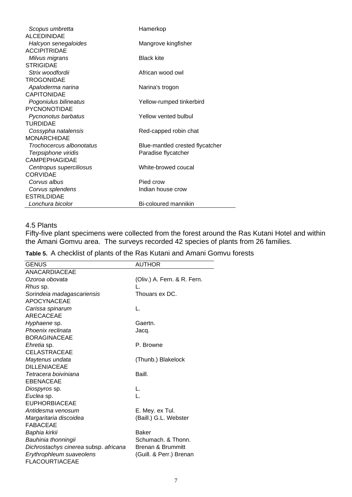| Scopus umbretta          | Hamerkop                        |
|--------------------------|---------------------------------|
| <b>ALCEDINIDAE</b>       |                                 |
| Halcyon senegaloides     | Mangrove kingfisher             |
| <b>ACCIPITRIDAE</b>      |                                 |
| Milvus migrans           | <b>Black kite</b>               |
| <b>STRIGIDAE</b>         |                                 |
| Strix woodfordii         | African wood owl                |
| <b>TROGONIDAE</b>        |                                 |
| Apaloderma narina        | Narina's trogon                 |
| <b>CAPITONIDAE</b>       |                                 |
| Pogoniulus bilineatus    | Yellow-rumped tinkerbird        |
| <b>PYCNONOTIDAE</b>      |                                 |
| Pycnonotus barbatus      | Yellow vented bulbul            |
| <b>TURDIDAE</b>          |                                 |
| Cossypha natalensis      | Red-capped robin chat           |
| <b>MONARCHIDAE</b>       |                                 |
| Trochocercus albonotatus | Blue-mantled crested flycatcher |
| Terpsiphone viridis      | Paradise flycatcher             |
| CAMPEPHAGIDAE            |                                 |
| Centropus superciliosus  | White-browed coucal             |
| <b>CORVIDAE</b>          |                                 |
| Corvus albus             | Pied crow                       |
| Corvus splendens         | Indian house crow               |
| <b>ESTRILDIDAE</b>       |                                 |
| Lonchura bicolor         | Bi-coloured mannikin            |

## 4.5 Plants

Fifty-five plant specimens were collected from the forest around the Ras Kutani Hotel and within the Amani Gomvu area. The surveys recorded 42 species of plants from 26 families.

| <b>GENUS</b>                                      | <b>AUTHOR</b>               |
|---------------------------------------------------|-----------------------------|
| ANACARDIACEAE                                     |                             |
| Ozoroa obovata                                    | (Oliv.) A. Fern. & R. Fern. |
| Rhus sp.                                          |                             |
| Sorindeia madagascariensis<br><b>APOCYNACEAE</b>  | Thouars ex DC.              |
| Carissa spinarum<br><b>ARECACEAE</b>              | L.                          |
| Hyphaene sp.                                      | Gaertn.                     |
| Phoenix reclinata                                 | Jacq.                       |
| <b>BORAGINACEAE</b>                               |                             |
| <i>Ehretia</i> sp.                                | P. Browne                   |
| <b>CELASTRACEAE</b>                               |                             |
| Maytenus undata                                   | (Thunb.) Blakelock          |
| <b>DILLENIACEAE</b>                               |                             |
| Tetracera boiviniana                              | Baill.                      |
| <b>EBENACEAE</b>                                  |                             |
| Diospyros sp.                                     | L.                          |
| Euclea sp.                                        | L.                          |
| <b>EUPHORBIACEAE</b>                              |                             |
| Antidesma venosum                                 | E. Mey. ex Tul.             |
| Margaritaria discoidea                            | (Baill.) G.L. Webster       |
| <b>FABACEAE</b>                                   | Baker                       |
| Baphia kirkii                                     | Schumach. & Thonn.          |
| Bauhinia thonningii                               | Brenan & Brummitt           |
| Dichrostachys cinerea subsp. africana             |                             |
| Erythrophleum suaveolens<br><b>FLACOURTIACEAE</b> | (Guill. & Perr.) Brenan     |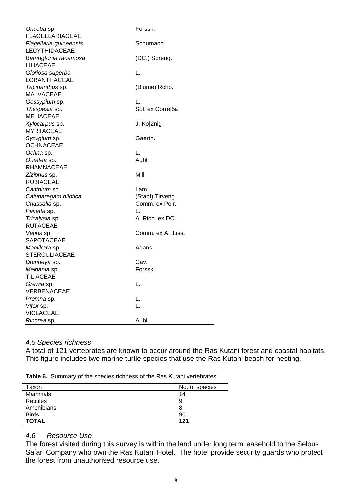| Oncoba sp.             | Forssk.           |
|------------------------|-------------------|
| <b>FLAGELLARIACEAE</b> |                   |
| Flagellaria guineensis | Schumach.         |
| LECYTHIDACEAE          |                   |
| Barringtonia racemosa  | (DC.) Spreng.     |
| <b>LILIACEAE</b>       |                   |
| Gloriosa superba       | L.                |
| LORANTHACEAE           |                   |
| Tapinanthus sp.        | (Blume) Rchb.     |
| <b>MALVACEAE</b>       |                   |
| Gossypium sp.          | L.                |
| Thespesia sp.          | Sol. ex Corre 5a  |
| <b>MELIACEAE</b>       |                   |
| Xylocarpus sp.         | J. Ko 2nig        |
| <b>MYRTACEAE</b>       |                   |
| Syzygium sp.           | Gaertn.           |
| <b>OCHNACEAE</b>       |                   |
| Ochna sp.              | L.                |
| Ouratea sp.            | Aubl.             |
| <b>RHAMNACEAE</b>      |                   |
| Ziziphus sp.           | Mill.             |
| <b>RUBIACEAE</b>       |                   |
| Canthium sp.           | Lam.              |
| Catunaregam nilotica   | (Stapf) Tirveng.  |
| Chassalia sp.          | Comm. ex Poir.    |
| Pavetta sp.            | L.                |
| Tricalysia sp.         | A. Rich. ex DC.   |
| <b>RUTACEAE</b>        |                   |
| Vepris sp.             | Comm. ex A. Juss. |
| SAPOTACEAE             |                   |
| Manilkara sp.          | Adans.            |
| <b>STERCULIACEAE</b>   |                   |
| Dombeya sp.            | Cav.              |
| Melhania sp.           | Forssk.           |
| <b>TILIACEAE</b>       |                   |
| Grewia sp.             | L.                |
| VERBENACEAE            |                   |
| Premna sp.             | L.                |
| Vitex sp.              | L.                |
| <b>VIOLACEAE</b>       |                   |
| Rinorea sp.            | Aubl.             |

## *4.5 Species richness*

A total of 121 vertebrates are known to occur around the Ras Kutani forest and coastal habitats. This figure includes two marine turtle species that use the Ras Kutani beach for nesting.

**Table 6.** Summary of the species richness of the Ras Kutani vertebrates

| Taxon        | No. of species |
|--------------|----------------|
| Mammals      | 14             |
| Reptiles     | 9              |
| Amphibians   | 8              |
| <b>Birds</b> | 90             |
| <b>TOTAL</b> | 121            |
|              |                |

## *4.6 Resource Use*

The forest visited during this survey is within the land under long term leasehold to the Selous Safari Company who own the Ras Kutani Hotel. The hotel provide security guards who protect the forest from unauthorised resource use.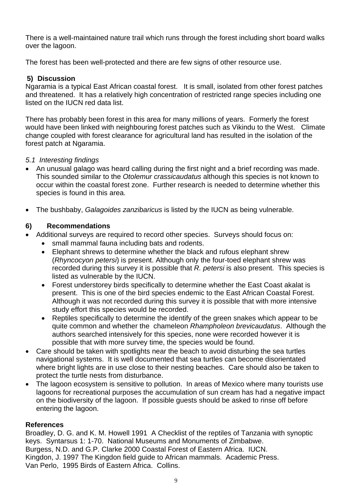There is a well-maintained nature trail which runs through the forest including short board walks over the lagoon.

The forest has been well-protected and there are few signs of other resource use.

## **5) Discussion**

Ngaramia is a typical East African coastal forest. It is small, isolated from other forest patches and threatened. It has a relatively high concentration of restricted range species including one listed on the IUCN red data list.

There has probably been forest in this area for many millions of years. Formerly the forest would have been linked with neighbouring forest patches such as Vikindu to the West. Climate change coupled with forest clearance for agricultural land has resulted in the isolation of the forest patch at Ngaramia.

## *5.1 Interesting findings*

- An unusual galago was heard calling during the first night and a brief recording was made. This sounded similar to the *Otolemur crassicaudatus* although this species is not known to occur within the coastal forest zone. Further research is needed to determine whether this species is found in this area.
- The bushbaby, *Galagoides zanzibaricus* is listed by the IUCN as being vulnerable.

## **6) Recommendations**

- Additional surveys are required to record other species. Surveys should focus on:
	- small mammal fauna including bats and rodents.
	- Elephant shrews to determine whether the black and rufous elephant shrew (*Rhyncocyon petersi*) is present. Although only the four-toed elephant shrew was recorded during this survey it is possible that *R. petersi* is also present. This species is listed as vulnerable by the IUCN.
	- Forest understorey birds specifically to determine whether the East Coast akalat is present. This is one of the bird species endemic to the East African Coastal Forest. Although it was not recorded during this survey it is possible that with more intensive study effort this species would be recorded.
	- Reptiles specifically to determine the identify of the green snakes which appear to be quite common and whether the chameleon *Rhampholeon brevicaudatus*. Although the authors searched intensively for this species, none were recorded however it is possible that with more survey time, the species would be found.
- Care should be taken with spotlights near the beach to avoid disturbing the sea turtles navigational systems. It is well documented that sea turtles can become disorientated where bright lights are in use close to their nesting beaches. Care should also be taken to protect the turtle nests from disturbance.
- The lagoon ecosystem is sensitive to pollution. In areas of Mexico where many tourists use lagoons for recreational purposes the accumulation of sun cream has had a negative impact on the biodiversity of the lagoon. If possible guests should be asked to rinse off before entering the lagoon.

## **References**

Broadley, D. G. and K. M. Howell 1991 A Checklist of the reptiles of Tanzania with synoptic keys. Syntarsus 1: 1-70. National Museums and Monuments of Zimbabwe. Burgess, N.D. and G.P. Clarke 2000 Coastal Forest of Eastern Africa. IUCN. Kingdon, J. 1997 The Kingdon field guide to African mammals. Academic Press. Van Perlo, 1995 Birds of Eastern Africa. Collins.